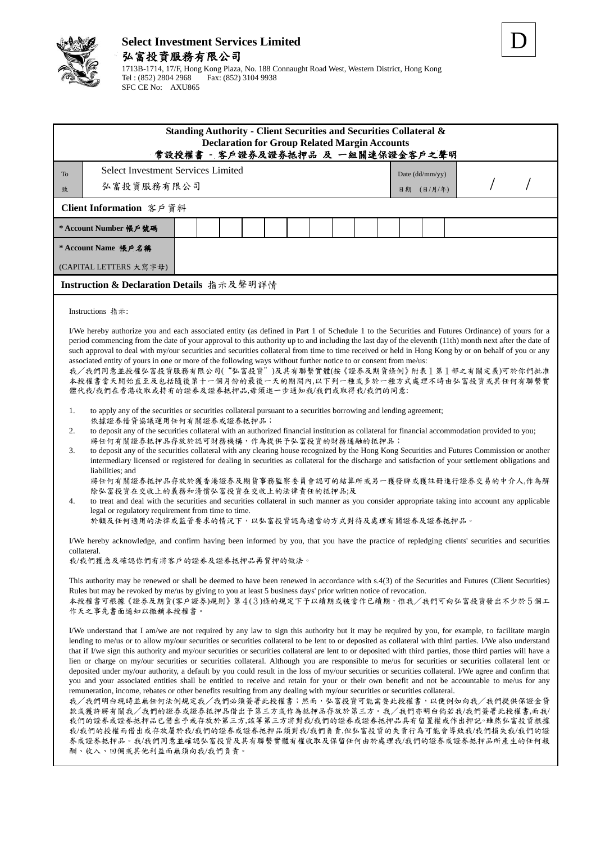

## **Select Investment Services Limited** 弘富投資服務有限公司

|                       | 1713B-1714, 17/F, Hong Kong Plaza, No. 188 Connaught Road West, Western District, Hong Kong |
|-----------------------|---------------------------------------------------------------------------------------------|
| Tel : (852) 2804 2968 | Fax: (852) 3104 9938                                                                        |
| SFC CE No: AXU865     |                                                                                             |

| <b>Select Investment Services Limited</b><br>To<br>Date (dd/mm/yy)<br>弘富投資服務有限公司<br>(日/月/年)<br>致<br>日期<br>Client Information 客戶資料<br>* Account Number 帳戶號碼<br>* Account Name 帳戶名稱<br>(CAPITAL LETTERS 大寫字母)<br>Instruction & Declaration Details 指示及聲明詳情<br>Instructions 指示:<br>I/We hereby authorize you and each associated entity (as defined in Part 1 of Schedule 1 to the Securities and Futures Ordinance) of yours for a<br>period commencing from the date of your approval to this authority up to and including the last day of the eleventh (11th) month next after the date of<br>such approval to deal with my/our securities and securities collateral from time to time received or held in Hong Kong by or on behalf of you or any<br>associated entity of yours in one or more of the following ways without further notice to or consent from me/us:<br>我/我們同意並授權弘富投資服務有限公司("弘富投資")及其有聯繫實體(按《證券及期貨條例》附表1第1部之有關定義)可於你們批准<br>本授權書當天開始直至及包括隨後第十一個月份的最後一天的期間內,以下列一種或多於一種方式處理不時由弘富投資或其任何有聯繫實<br>體代我/我們在香港收取或持有的證券及證券抵押品,毋須進一步通知我/我們或取得我/我們的同意:<br>1.<br>to apply any of the securities or securities collateral pursuant to a securities borrowing and lending agreement;<br>依據證券借貸協議運用任何有關證券或證券抵押品;<br>to deposit any of the securities collateral with an authorized financial institution as collateral for financial accommodation provided to you;<br>2.<br>將任何有關證券抵押品存放於認可財務機構,作為提供予弘富投資的財務通融的抵押品;<br>to deposit any of the securities collateral with any clearing house recognized by the Hong Kong Securities and Futures Commission or another<br>3.<br>intermediary licensed or registered for dealing in securities as collateral for the discharge and satisfaction of your settlement obligations and<br>liabilities; and<br>將任何有關證券抵押品存放於獲香港證券及期貨事務監察委員會認可的結算所或另一獲發牌或獲註冊進行證券交易的中介人,作為解<br>除弘富投資在交收上的義務和清償弘富投資在交收上的法律責任的抵押品;及<br>to treat and deal with the securities and securities collateral in such manner as you consider appropriate taking into account any applicable<br>4.<br>legal or regulatory requirement from time to time.<br>於顧及任何適用的法律或監管要求的情況下,以弘富投資認為適當的方式對待及處理有關證券及證券抵押品。<br>I/We hereby acknowledge, and confirm having been informed by you, that you have the practice of repledging clients' securities and securities<br>collateral. | Standing Authority - Client Securities and Securities Collateral &<br><b>Declaration for Group Related Margin Accounts</b><br>常設授權書 - 客戶證券及證券抵押品 及 一組關連保證金客戶之聲明 |  |  |  |
|--------------------------------------------------------------------------------------------------------------------------------------------------------------------------------------------------------------------------------------------------------------------------------------------------------------------------------------------------------------------------------------------------------------------------------------------------------------------------------------------------------------------------------------------------------------------------------------------------------------------------------------------------------------------------------------------------------------------------------------------------------------------------------------------------------------------------------------------------------------------------------------------------------------------------------------------------------------------------------------------------------------------------------------------------------------------------------------------------------------------------------------------------------------------------------------------------------------------------------------------------------------------------------------------------------------------------------------------------------------------------------------------------------------------------------------------------------------------------------------------------------------------------------------------------------------------------------------------------------------------------------------------------------------------------------------------------------------------------------------------------------------------------------------------------------------------------------------------------------------------------------------------------------------------------------------------------------------------------------------------------------------------------------------------------------------------------------------------------------------------------------------------------------------------------------------------------------------------------------------------------------------------------------------------|-----------------------------------------------------------------------------------------------------------------------------------------------------------------|--|--|--|
|                                                                                                                                                                                                                                                                                                                                                                                                                                                                                                                                                                                                                                                                                                                                                                                                                                                                                                                                                                                                                                                                                                                                                                                                                                                                                                                                                                                                                                                                                                                                                                                                                                                                                                                                                                                                                                                                                                                                                                                                                                                                                                                                                                                                                                                                                            |                                                                                                                                                                 |  |  |  |
|                                                                                                                                                                                                                                                                                                                                                                                                                                                                                                                                                                                                                                                                                                                                                                                                                                                                                                                                                                                                                                                                                                                                                                                                                                                                                                                                                                                                                                                                                                                                                                                                                                                                                                                                                                                                                                                                                                                                                                                                                                                                                                                                                                                                                                                                                            |                                                                                                                                                                 |  |  |  |
|                                                                                                                                                                                                                                                                                                                                                                                                                                                                                                                                                                                                                                                                                                                                                                                                                                                                                                                                                                                                                                                                                                                                                                                                                                                                                                                                                                                                                                                                                                                                                                                                                                                                                                                                                                                                                                                                                                                                                                                                                                                                                                                                                                                                                                                                                            |                                                                                                                                                                 |  |  |  |
|                                                                                                                                                                                                                                                                                                                                                                                                                                                                                                                                                                                                                                                                                                                                                                                                                                                                                                                                                                                                                                                                                                                                                                                                                                                                                                                                                                                                                                                                                                                                                                                                                                                                                                                                                                                                                                                                                                                                                                                                                                                                                                                                                                                                                                                                                            |                                                                                                                                                                 |  |  |  |
|                                                                                                                                                                                                                                                                                                                                                                                                                                                                                                                                                                                                                                                                                                                                                                                                                                                                                                                                                                                                                                                                                                                                                                                                                                                                                                                                                                                                                                                                                                                                                                                                                                                                                                                                                                                                                                                                                                                                                                                                                                                                                                                                                                                                                                                                                            |                                                                                                                                                                 |  |  |  |
|                                                                                                                                                                                                                                                                                                                                                                                                                                                                                                                                                                                                                                                                                                                                                                                                                                                                                                                                                                                                                                                                                                                                                                                                                                                                                                                                                                                                                                                                                                                                                                                                                                                                                                                                                                                                                                                                                                                                                                                                                                                                                                                                                                                                                                                                                            |                                                                                                                                                                 |  |  |  |
|                                                                                                                                                                                                                                                                                                                                                                                                                                                                                                                                                                                                                                                                                                                                                                                                                                                                                                                                                                                                                                                                                                                                                                                                                                                                                                                                                                                                                                                                                                                                                                                                                                                                                                                                                                                                                                                                                                                                                                                                                                                                                                                                                                                                                                                                                            |                                                                                                                                                                 |  |  |  |
| 我/我們獲悉及確認你們有將客戶的證券及證券抵押品再質押的做法。<br>This authority may be renewed or shall be deemed to have been renewed in accordance with s.4(3) of the Securities and Futures (Client Securities)<br>Rules but may be revoked by me/us by giving to you at least 5 business days' prior written notice of revocation.<br>本授權書可根據《證券及期貨(客戶證券)規則》第4(3)條的規定下予以續期或被當作已續期,惟我/我們可向弘富投資發出不少於5個工<br>作天之事先書面通知以撤銷本授權書。<br>I/We understand that I am/we are not required by any law to sign this authority but it may be required by you, for example, to facilitate margin<br>lending to me/us or to allow my/our securities or securities collateral to be lent to or deposited as collateral with third parties. I/We also understand<br>that if I/we sign this authority and my/our securities or securities collateral are lent to or deposited with third parties, those third parties will have a<br>lien or charge on my/our securities or securities collateral. Although you are responsible to me/us for securities or securities collateral lent or<br>deposited under my/our authority, a default by you could result in the loss of my/our securities or securities collateral. I/We agree and confirm that<br>you and your associated entities shall be entitled to receive and retain for your or their own benefit and not be accountable to me/us for any<br>remuneration, income, rebates or other benefits resulting from any dealing with my/our securities or securities collateral.<br>我/我們明白現時並無任何法例規定我/我們必須簽署此授權書;然而,弘富投資可能需要此授權書,以便例如向我/我們提供保證金貸<br>款或獲許將有關我/我們的證券或證券抵押品借出予第三方或作為抵押品存放於第三方。我/我們亦明白倘若我/我們簽署此授權書,而我/<br>我們的證券或證券抵押品已借出予或存放於第三方,該等第三方將對我/我們的證券或證券抵押品具有留置權或作出押記。雖然弘富投資根據<br>我/我們的授權而借出或存放屬於我/我們的證券或證券抵押品須對我/我們負責,但弘富投資的失責行為可能會導致我/我們損失我/我們的證<br>券或證券抵押品。我/我們同意並確認弘富投資及其有聯繫實體有權收取及保留任何由於處理我/我們的證券或證券抵押品所產生的任何報                                                                                                                                                                                                                                                                                                                                                                                                                                                               |                                                                                                                                                                 |  |  |  |